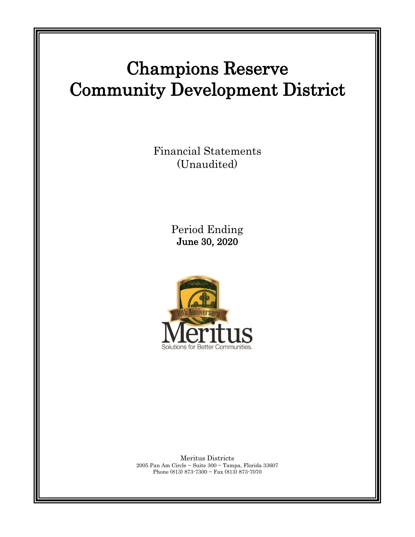# Champions Reserve Community Development District

Financial Statements (Unaudited)

> Period Ending June 30, 2020



Meritus Districts 2005 Pan Am Circle ~ Suite 300 ~ Tampa, Florida 33607 Phone (813) 873-7300 ~ Fax (813) 873-7070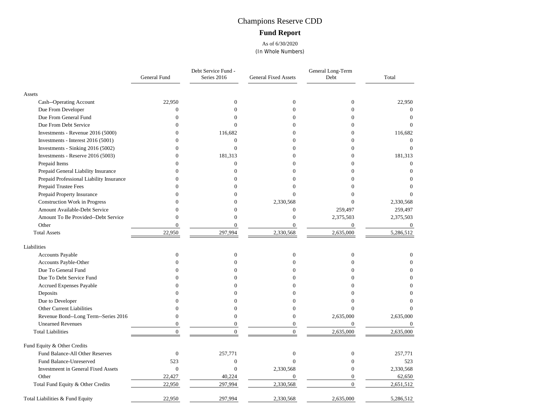# Champions Reserve CDD **Fund Report**

As of 6/30/2020 (In Whole Numbers)

|                                            | General Fund     | Debt Service Fund -<br>Series 2016 | <b>General Fixed Assets</b> | General Long-Term<br>Debt | Total            |
|--------------------------------------------|------------------|------------------------------------|-----------------------------|---------------------------|------------------|
| Assets                                     |                  |                                    |                             |                           |                  |
| Cash--Operating Account                    | 22,950           | $\mathbf{0}$                       | $\mathbf{0}$                | $\boldsymbol{0}$          | 22,950           |
| Due From Developer                         | 0                | $\theta$                           | $\theta$                    | $\theta$                  | $\mathbf{0}$     |
| Due From General Fund                      | $\Omega$         | 0                                  | $\Omega$                    | $\Omega$                  | $\Omega$         |
| Due From Debt Service                      | $\Omega$         | 0                                  | $\Omega$                    | 0                         | $\Omega$         |
| Investments - Revenue 2016 (5000)          | $\theta$         | 116,682                            | $\Omega$                    |                           | 116,682          |
| Investments - Interest 2016 (5001)         | $\theta$         | $\overline{0}$                     | $\Omega$                    | $\Omega$                  | $\theta$         |
| Investments - Sinking 2016 (5002)          | $\overline{0}$   | $\overline{0}$                     | $\theta$                    | 0                         | $\Omega$         |
| Investments - Reserve 2016 (5003)          | $\Omega$         | 181,313                            | $\Omega$                    | $\Omega$                  | 181,313          |
| Prepaid Items                              | $\Omega$         | $\overline{0}$                     | $\Omega$                    | 0                         | $\theta$         |
| Prepaid General Liability Insurance        | 0                | $\Omega$                           | $\Omega$                    | $\Omega$                  | $\Omega$         |
| Prepaid Professional Liability Insurance   | $\Omega$         | 0                                  | $\Omega$                    | 0                         | $\Omega$         |
| Prepaid Trustee Fees                       |                  |                                    | 0                           |                           | $\theta$         |
| Prepaid Property Insurance                 | $\Omega$         | O                                  | $\theta$                    | 0                         | $\Omega$         |
| Construction Work in Progress              | $\theta$         | 0                                  | 2,330,568                   | $\Omega$                  | 2,330,568        |
| Amount Available-Debt Service              | $\theta$         | 0                                  | $\overline{0}$              | 259,497                   | 259,497          |
| Amount To Be Provided--Debt Service        | $\theta$         | $\overline{0}$                     | $\overline{0}$              | 2,375,503                 | 2,375,503        |
| Other                                      | $\overline{0}$   | $\overline{0}$                     | $\overline{0}$              | $\overline{0}$            | $\boldsymbol{0}$ |
| <b>Total Assets</b>                        | 22,950           | 297,994                            | 2,330,568                   | 2,635,000                 | 5,286,512        |
| Liabilities                                |                  |                                    |                             |                           |                  |
| Accounts Payable                           | $\mathbf{0}$     | $\mathbf{0}$                       | $\mathbf{0}$                | $\overline{0}$            | $\Omega$         |
| Accounts Payble-Other                      | $\theta$         | $\theta$                           | $\theta$                    | $\theta$                  | $\theta$         |
| Due To General Fund                        | $\Omega$         |                                    | $\Omega$                    | $\Omega$                  |                  |
| Due To Debt Service Fund                   | 0                | 0                                  | $\Omega$                    | 0                         |                  |
| Accrued Expenses Payable                   |                  |                                    | $\Omega$                    |                           |                  |
| Deposits                                   | 0                |                                    | $\Omega$                    |                           | 0                |
| Due to Developer                           | $\Omega$         |                                    | $\Omega$                    |                           |                  |
| Other Current Liabilities                  | $\theta$         | 0                                  | $\theta$                    | $\Omega$                  |                  |
| Revenue Bond--Long Term--Series 2016       | $\overline{0}$   | $\overline{0}$                     | $\overline{0}$              | 2,635,000                 | 2,635,000        |
| <b>Unearned Revenues</b>                   | $\Omega$         | $\theta$                           | $\theta$                    | $\overline{0}$            | $\theta$         |
| <b>Total Liabilities</b>                   | $\Omega$         | $\theta$                           | $\Omega$                    | 2,635,000                 | 2,635,000        |
| Fund Equity & Other Credits                |                  |                                    |                             |                           |                  |
| Fund Balance-All Other Reserves            | $\boldsymbol{0}$ | 257,771                            | $\overline{0}$              | $\overline{0}$            | 257,771          |
| Fund Balance-Unreserved                    | 523              | $\overline{0}$                     | $\Omega$                    | $\theta$                  | 523              |
| <b>Investmeent in General Fixed Assets</b> | $\overline{0}$   | $\overline{0}$                     | 2,330,568                   | $\Omega$                  | 2,330,568        |
| Other                                      | 22,427           | 40,224                             | $\mathbf{0}$                | $\overline{0}$            | 62,650           |
| Total Fund Equity & Other Credits          | 22,950           | 297,994                            | 2,330,568                   | $\overline{0}$            | 2,651,512        |
| Total Liabilities & Fund Equity            | 22,950           | 297,994                            | 2,330,568                   | 2,635,000                 | 5,286,512        |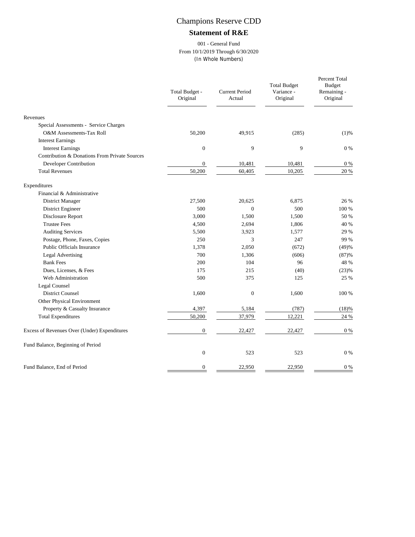# Champions Reserve CDD

### **Statement of R&E**

#### 001 - General Fund From 10/1/2019 Through 6/30/2020 (In Whole Numbers)

|                                               | Total Budget -<br>Original | <b>Current Period</b><br>Actual | <b>Total Budget</b><br>Variance -<br>Original | Percent Total<br><b>Budget</b><br>Remaining -<br>Original |
|-----------------------------------------------|----------------------------|---------------------------------|-----------------------------------------------|-----------------------------------------------------------|
| Revenues                                      |                            |                                 |                                               |                                                           |
| Special Assessments - Service Charges         |                            |                                 |                                               |                                                           |
| O&M Assessments-Tax Roll                      | 50,200                     | 49,915                          | (285)                                         | (1)%                                                      |
| <b>Interest Earnings</b>                      |                            |                                 |                                               |                                                           |
| <b>Interest Earnings</b>                      | $\mathbf{0}$               | 9                               | 9                                             | $0\%$                                                     |
| Contribution & Donations From Private Sources |                            |                                 |                                               |                                                           |
| Developer Contribution                        | $\overline{0}$             | 10,481                          | 10,481                                        | $0\%$                                                     |
| <b>Total Revenues</b>                         | 50,200                     | 60,405                          | 10,205                                        | 20 %                                                      |
| Expenditures                                  |                            |                                 |                                               |                                                           |
| Financial & Administrative                    |                            |                                 |                                               |                                                           |
| District Manager                              | 27,500                     | 20,625                          | 6,875                                         | 26 %                                                      |
| District Engineer                             | 500                        | $\mathbf{0}$                    | 500                                           | 100 %                                                     |
| Disclosure Report                             | 3,000                      | 1,500                           | 1,500                                         | 50 %                                                      |
| <b>Trustee Fees</b>                           | 4,500                      | 2,694                           | 1,806                                         | 40 %                                                      |
| <b>Auditing Services</b>                      | 5,500                      | 3,923                           | 1,577                                         | 29 %                                                      |
| Postage, Phone, Faxes, Copies                 | 250                        | 3                               | 247                                           | 99 %                                                      |
| Public Officials Insurance                    | 1,378                      | 2,050                           | (672)                                         | (49)%                                                     |
| <b>Legal Advertising</b>                      | 700                        | 1,306                           | (606)                                         | (87)%                                                     |
| <b>Bank Fees</b>                              | 200                        | 104                             | 96                                            | 48 %                                                      |
| Dues, Licenses, & Fees                        | 175                        | 215                             | (40)                                          | (23)%                                                     |
| Web Administration                            | 500                        | 375                             | 125                                           | 25 %                                                      |
| Legal Counsel                                 |                            |                                 |                                               |                                                           |
| <b>District Counsel</b>                       | 1,600                      | $\overline{0}$                  | 1,600                                         | 100 %                                                     |
| Other Physical Environment                    |                            |                                 |                                               |                                                           |
| Property & Casualty Insurance                 | 4,397                      | 5,184                           | (787)                                         | (18)%                                                     |
| <b>Total Expenditures</b>                     | 50,200                     | 37,979                          | 12,221                                        | 24 %                                                      |
| Excess of Revenues Over (Under) Expenditures  | $\boldsymbol{0}$           | 22,427                          | 22,427                                        | $0\%$                                                     |
| Fund Balance, Beginning of Period             |                            |                                 |                                               |                                                           |
|                                               | $\mathbf{0}$               | 523                             | 523                                           | $0\%$                                                     |
| Fund Balance, End of Period                   | 0                          | 22,950                          | 22,950                                        | $0\ \%$                                                   |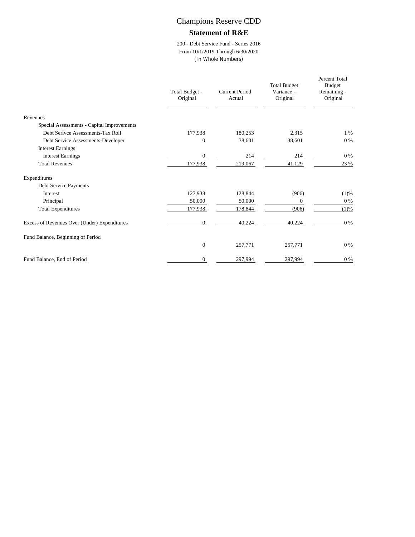## Champions Reserve CDD

#### **Statement of R&E**

200 - Debt Service Fund - Series 2016 From 10/1/2019 Through 6/30/2020 (In Whole Numbers)

|                                              | Total Budget -<br>Original | Current Period<br>Actual | <b>Total Budget</b><br>Variance -<br>Original | Percent Total<br><b>Budget</b><br>Remaining -<br>Original |
|----------------------------------------------|----------------------------|--------------------------|-----------------------------------------------|-----------------------------------------------------------|
| Revenues                                     |                            |                          |                                               |                                                           |
| Special Assessments - Capital Improvements   |                            |                          |                                               |                                                           |
| Debt Serivce Assessments-Tax Roll            | 177,938                    | 180,253                  | 2,315                                         | $1\%$                                                     |
| Debt Service Assessments-Developer           | $\Omega$                   | 38,601                   | 38,601                                        | $0\%$                                                     |
| <b>Interest Earnings</b>                     |                            |                          |                                               |                                                           |
| <b>Interest Earnings</b>                     | $\mathbf{0}$               | 214                      | 214                                           | $0\%$                                                     |
| <b>Total Revenues</b>                        | 177,938                    | 219,067                  | 41,129                                        | 23 %                                                      |
| Expenditures                                 |                            |                          |                                               |                                                           |
| Debt Service Payments                        |                            |                          |                                               |                                                           |
| <b>Interest</b>                              | 127,938                    | 128,844                  | (906)                                         | (1)%                                                      |
| Principal                                    | 50,000                     | 50,000                   | $\mathbf{0}$                                  | $0\%$                                                     |
| <b>Total Expenditures</b>                    | 177,938                    | 178,844                  | (906)                                         | (1)%                                                      |
| Excess of Revenues Over (Under) Expenditures | $\mathbf{0}$               | 40,224                   | 40,224                                        | $0\%$                                                     |
| Fund Balance, Beginning of Period            |                            |                          |                                               |                                                           |
|                                              | $\mathbf{0}$               | 257,771                  | 257,771                                       | $0\%$                                                     |
| Fund Balance, End of Period                  | $\mathbf{0}$               | 297,994                  | 297,994                                       | $0\ \%$                                                   |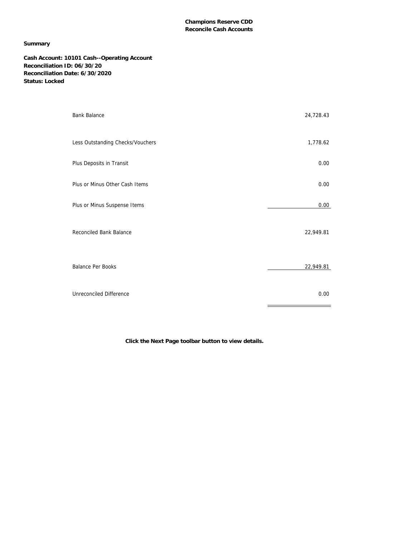#### **Summary**

**Cash Account: 10101 Cash--Operating Account Reconciliation ID: 06/30/20 Reconciliation Date: 6/30/2020 Status: Locked**

| <b>Bank Balance</b>              | 24,728.43 |
|----------------------------------|-----------|
| Less Outstanding Checks/Vouchers | 1,778.62  |
| Plus Deposits in Transit         | 0.00      |
| Plus or Minus Other Cash Items   | 0.00      |
| Plus or Minus Suspense Items     | 0.00      |
| Reconciled Bank Balance          | 22,949.81 |
| <b>Balance Per Books</b>         | 22,949.81 |
| Unreconciled Difference          | 0.00      |

**Click the Next Page toolbar button to view details.**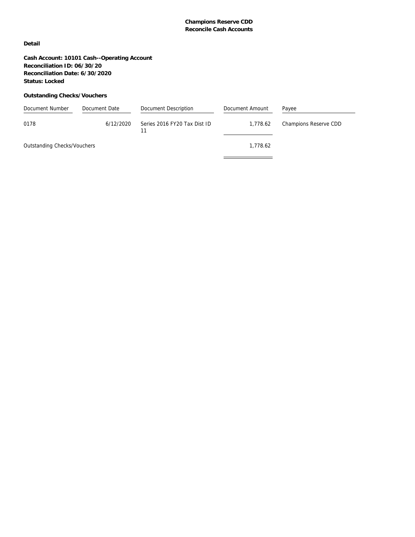**Detail**

**Cash Account: 10101 Cash--Operating Account Reconciliation ID: 06/30/20 Reconciliation Date: 6/30/2020 Status: Locked**

#### **Outstanding Checks/Vouchers**

| Document Number             | Document Date | Document Description         | Document Amount | Payee                 |
|-----------------------------|---------------|------------------------------|-----------------|-----------------------|
| 0178                        | 6/12/2020     | Series 2016 FY20 Tax Dist ID | 1,778.62        | Champions Reserve CDD |
| Outstanding Checks/Vouchers |               |                              | 1.778.62        |                       |
|                             |               |                              |                 |                       |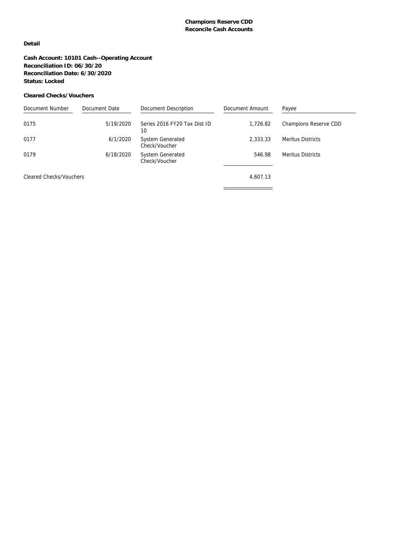#### **Detail**

**Cash Account: 10101 Cash--Operating Account Reconciliation ID: 06/30/20 Reconciliation Date: 6/30/2020 Status: Locked**

#### **Cleared Checks/Vouchers**

| Document Number         | Document Date | Document Description                     | Document Amount | Payee                    |
|-------------------------|---------------|------------------------------------------|-----------------|--------------------------|
| 0175                    | 5/19/2020     | Series 2016 FY20 Tax Dist ID<br>10       | 1,726.82        | Champions Reserve CDD    |
| 0177                    | 6/1/2020      | <b>System Generated</b><br>Check/Voucher | 2.333.33        | <b>Meritus Districts</b> |
| 0179                    | 6/18/2020     | System Generated<br>Check/Voucher        | 546.98          | <b>Meritus Districts</b> |
| Cleared Checks/Vouchers |               |                                          | 4,607.13        |                          |